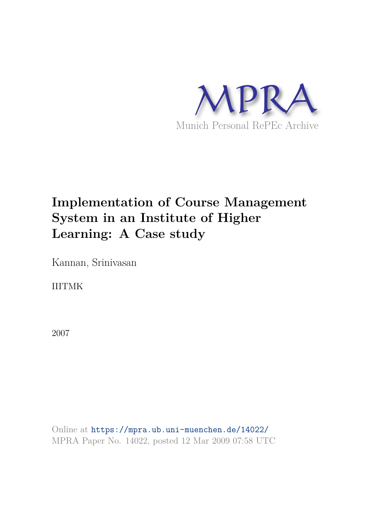

# **Implementation of Course Management System in an Institute of Higher Learning: A Case study**

Kannan, Srinivasan

IIITMK

2007

Online at https://mpra.ub.uni-muenchen.de/14022/ MPRA Paper No. 14022, posted 12 Mar 2009 07:58 UTC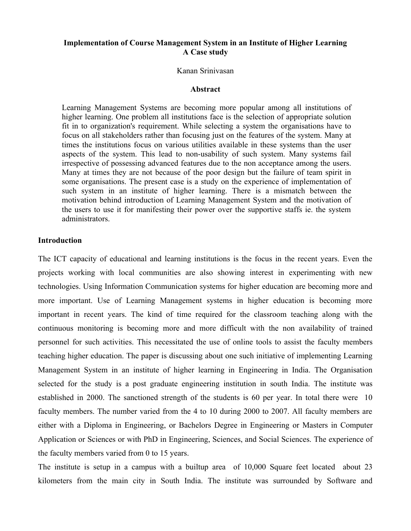# **Implementation of Course Management System in an Institute of Higher Learning A Case study**

## Kanan Srinivasan

#### **Abstract**

Learning Management Systems are becoming more popular among all institutions of higher learning. One problem all institutions face is the selection of appropriate solution fit in to organization's requirement. While selecting a system the organisations have to focus on all stakeholders rather than focusing just on the features of the system. Many at times the institutions focus on various utilities available in these systems than the user aspects of the system. This lead to non-usability of such system. Many systems fail irrespective of possessing advanced features due to the non acceptance among the users. Many at times they are not because of the poor design but the failure of team spirit in some organisations. The present case is a study on the experience of implementation of such system in an institute of higher learning. There is a mismatch between the motivation behind introduction of Learning Management System and the motivation of the users to use it for manifesting their power over the supportive staffs ie. the system administrators.

## **Introduction**

The ICT capacity of educational and learning institutions is the focus in the recent years. Even the projects working with local communities are also showing interest in experimenting with new technologies. Using Information Communication systems for higher education are becoming more and more important. Use of Learning Management systems in higher education is becoming more important in recent years. The kind of time required for the classroom teaching along with the continuous monitoring is becoming more and more difficult with the non availability of trained personnel for such activities. This necessitated the use of online tools to assist the faculty members teaching higher education. The paper is discussing about one such initiative of implementing Learning Management System in an institute of higher learning in Engineering in India. The Organisation selected for the study is a post graduate engineering institution in south India. The institute was established in 2000. The sanctioned strength of the students is 60 per year. In total there were 10 faculty members. The number varied from the 4 to 10 during 2000 to 2007. All faculty members are either with a Diploma in Engineering, or Bachelors Degree in Engineering or Masters in Computer Application or Sciences or with PhD in Engineering, Sciences, and Social Sciences. The experience of the faculty members varied from 0 to 15 years.

The institute is setup in a campus with a builtup area of 10,000 Square feet located about 23 kilometers from the main city in South India. The institute was surrounded by Software and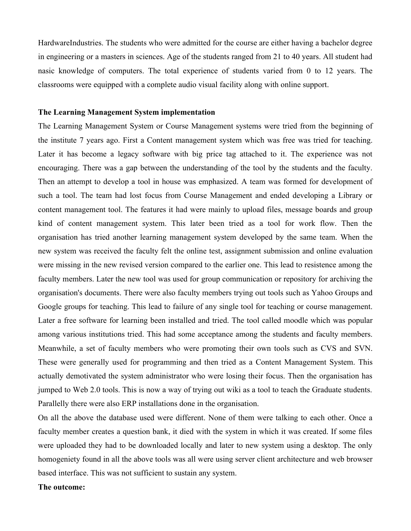HardwareIndustries. The students who were admitted for the course are either having a bachelor degree in engineering or a masters in sciences. Age of the students ranged from 21 to 40 years. All student had nasic knowledge of computers. The total experience of students varied from 0 to 12 years. The classrooms were equipped with a complete audio visual facility along with online support.

## **The Learning Management System implementation**

The Learning Management System or Course Management systems were tried from the beginning of the institute 7 years ago. First a Content management system which was free was tried for teaching. Later it has become a legacy software with big price tag attached to it. The experience was not encouraging. There was a gap between the understanding of the tool by the students and the faculty. Then an attempt to develop a tool in house was emphasized. A team was formed for development of such a tool. The team had lost focus from Course Management and ended developing a Library or content management tool. The features it had were mainly to upload files, message boards and group kind of content management system. This later been tried as a tool for work flow. Then the organisation has tried another learning management system developed by the same team. When the new system was received the faculty felt the online test, assignment submission and online evaluation were missing in the new revised version compared to the earlier one. This lead to resistence among the faculty members. Later the new tool was used for group communication or repository for archiving the organisation's documents. There were also faculty members trying out tools such as Yahoo Groups and Google groups for teaching. This lead to failure of any single tool for teaching or course management. Later a free software for learning been installed and tried. The tool called moodle which was popular among various institutions tried. This had some acceptance among the students and faculty members. Meanwhile, a set of faculty members who were promoting their own tools such as CVS and SVN. These were generally used for programming and then tried as a Content Management System. This actually demotivated the system administrator who were losing their focus. Then the organisation has jumped to Web 2.0 tools. This is now a way of trying out wiki as a tool to teach the Graduate students. Parallelly there were also ERP installations done in the organisation.

On all the above the database used were different. None of them were talking to each other. Once a faculty member creates a question bank, it died with the system in which it was created. If some files were uploaded they had to be downloaded locally and later to new system using a desktop. The only homogeniety found in all the above tools was all were using server client architecture and web browser based interface. This was not sufficient to sustain any system.

## **The outcome:**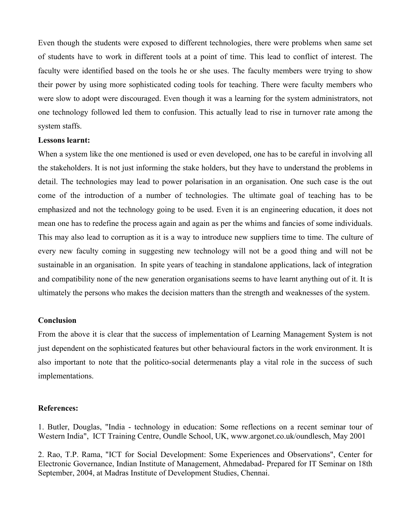Even though the students were exposed to different technologies, there were problems when same set of students have to work in different tools at a point of time. This lead to conflict of interest. The faculty were identified based on the tools he or she uses. The faculty members were trying to show their power by using more sophisticated coding tools for teaching. There were faculty members who were slow to adopt were discouraged. Even though it was a learning for the system administrators, not one technology followed led them to confusion. This actually lead to rise in turnover rate among the system staffs.

## **Lessons learnt:**

When a system like the one mentioned is used or even developed, one has to be careful in involving all the stakeholders. It is not just informing the stake holders, but they have to understand the problems in detail. The technologies may lead to power polarisation in an organisation. One such case is the out come of the introduction of a number of technologies. The ultimate goal of teaching has to be emphasized and not the technology going to be used. Even it is an engineering education, it does not mean one has to redefine the process again and again as per the whims and fancies of some individuals. This may also lead to corruption as it is a way to introduce new suppliers time to time. The culture of every new faculty coming in suggesting new technology will not be a good thing and will not be sustainable in an organisation. In spite years of teaching in standalone applications, lack of integration and compatibility none of the new generation organisations seems to have learnt anything out of it. It is ultimately the persons who makes the decision matters than the strength and weaknesses of the system.

# **Conclusion**

From the above it is clear that the success of implementation of Learning Management System is not just dependent on the sophisticated features but other behavioural factors in the work environment. It is also important to note that the politico-social determenants play a vital role in the success of such implementations.

## **References:**

1. Butler, Douglas, "India - technology in education: Some reflections on a recent seminar tour of Western India", ICT Training Centre, Oundle School, UK, www.argonet.co.uk/oundlesch, May 2001

2. Rao, T.P. Rama, "ICT for Social Development: Some Experiences and Observations", Center for Electronic Governance, Indian Institute of Management, Ahmedabad- Prepared for IT Seminar on 18th September, 2004, at Madras Institute of Development Studies, Chennai.